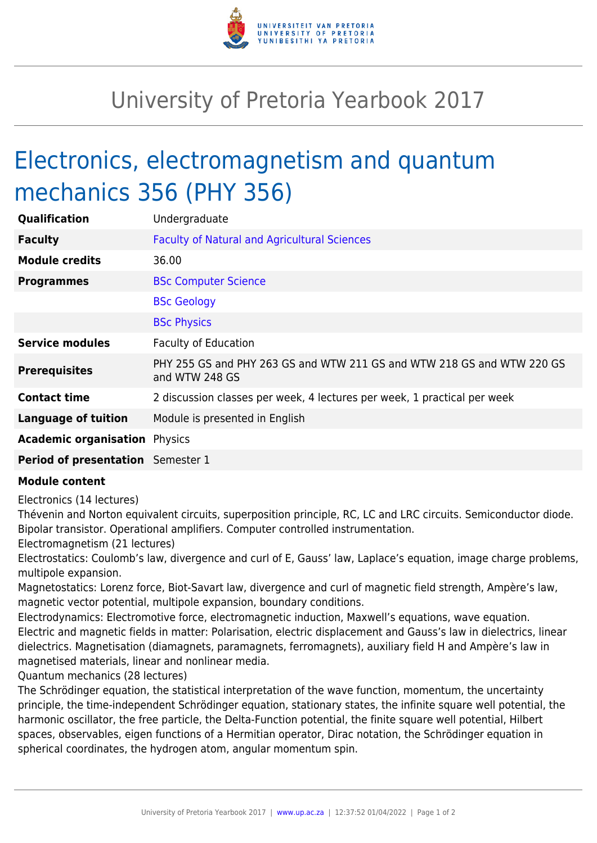

## University of Pretoria Yearbook 2017

## Electronics, electromagnetism and quantum mechanics 356 (PHY 356)

| Qualification                        | Undergraduate                                                                            |
|--------------------------------------|------------------------------------------------------------------------------------------|
| <b>Faculty</b>                       | <b>Faculty of Natural and Agricultural Sciences</b>                                      |
| <b>Module credits</b>                | 36.00                                                                                    |
| <b>Programmes</b>                    | <b>BSc Computer Science</b>                                                              |
|                                      | <b>BSc Geology</b>                                                                       |
|                                      | <b>BSc Physics</b>                                                                       |
| <b>Service modules</b>               | <b>Faculty of Education</b>                                                              |
| <b>Prerequisites</b>                 | PHY 255 GS and PHY 263 GS and WTW 211 GS and WTW 218 GS and WTW 220 GS<br>and WTW 248 GS |
| <b>Contact time</b>                  | 2 discussion classes per week, 4 lectures per week, 1 practical per week                 |
| <b>Language of tuition</b>           | Module is presented in English                                                           |
| <b>Academic organisation Physics</b> |                                                                                          |
| Period of presentation Semester 1    |                                                                                          |

## **Module content**

Electronics (14 lectures)

Thévenin and Norton equivalent circuits, superposition principle, RC, LC and LRC circuits. Semiconductor diode. Bipolar transistor. Operational amplifiers. Computer controlled instrumentation.

Electromagnetism (21 lectures)

Electrostatics: Coulomb's law, divergence and curl of E, Gauss' law, Laplace's equation, image charge problems, multipole expansion.

Magnetostatics: Lorenz force, Biot-Savart law, divergence and curl of magnetic field strength, Ampère's law, magnetic vector potential, multipole expansion, boundary conditions.

Electrodynamics: Electromotive force, electromagnetic induction, Maxwell's equations, wave equation. Electric and magnetic fields in matter: Polarisation, electric displacement and Gauss's law in dielectrics, linear dielectrics. Magnetisation (diamagnets, paramagnets, ferromagnets), auxiliary field H and Ampère's law in magnetised materials, linear and nonlinear media.

Quantum mechanics (28 lectures)

The Schrödinger equation, the statistical interpretation of the wave function, momentum, the uncertainty principle, the time-independent Schrödinger equation, stationary states, the infinite square well potential, the harmonic oscillator, the free particle, the Delta-Function potential, the finite square well potential, Hilbert spaces, observables, eigen functions of a Hermitian operator, Dirac notation, the Schrödinger equation in spherical coordinates, the hydrogen atom, angular momentum spin.